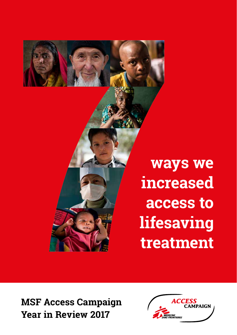

**ways we increased access to lifesaving treatment**

**MSF Access Campaign Year in Review 2017**

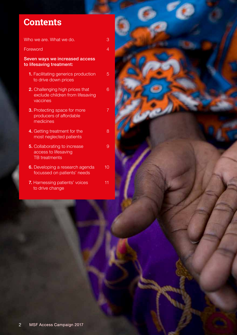### **Contents**

[Who we are. What we do.](#page-2-0) 3 [Foreword](#page-3-0) 4 Seven ways we increased access to lifesaving treatment: [1.](#page-4-0) Facilitating generics production 5 to drive down prices **2.** [Challenging high prices that 6](#page-5-0) [exclude children from lifesaving](#page-5-0)  [vaccines](#page-5-0) **3.** [Protecting space for more 7](#page-6-0) [producers of affordable](#page-6-0)  [medicines](#page-6-0) 4. [Getting treatment for the 8](#page-7-0) [most neglected patients](#page-7-0) **5.** [Collaborating to increase 9](#page-8-0) [access to lifesaving](#page-8-0)  [TB treatments](#page-8-0) **6.** [Developing a research agenda 10](#page-9-0) [focussed on patients' needs](#page-9-0) 7. [Harnessing patients' voices 11](#page-10-0)

[to drive change](#page-10-0)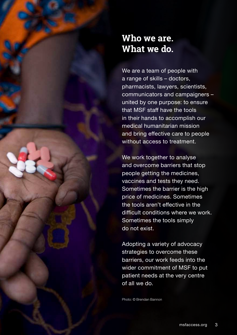### <span id="page-2-0"></span>**Who we are. What we do.**

We are a team of people with a range of skills – doctors, pharmacists, lawyers, scientists, communicators and campaigners – united by one purpose: to ensure that MSF staff have the tools in their hands to accomplish our medical humanitarian mission and bring effective care to people without access to treatment.

We work together to analyse and overcome barriers that stop people getting the medicines, vaccines and tests they need. Sometimes the barrier is the high price of medicines. Sometimes the tools aren't effective in the difficult conditions where we work. Sometimes the tools simply do not exist.

Adopting a variety of advocacy strategies to overcome these barriers, our work feeds into the wider commitment of MSF to put patient needs at the very centre of all we do.

Photo: © Brendan Bannon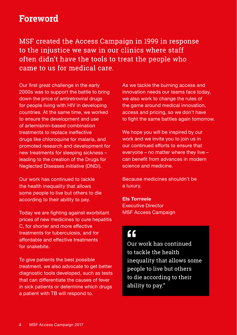### <span id="page-3-0"></span>**Foreword**

MSF created the Access Campaign in 1999 in response to the injustice we saw in our clinics where staff often didn't have the tools to treat the people who came to us for medical care.

Our first great challenge in the early 2000s was to support the battle to bring down the price of antiretroviral drugs for people living with HIV in developing countries. At the same time, we worked to ensure the development and use of artemisinin-based combination treatments to replace ineffective drugs like chloroquine for malaria, and promoted research and development for new treatments for sleeping sickness – leading to the creation of the Drugs for Neglected Diseases *initiative* (DND*i*).

Our work has continued to tackle the health inequality that allows some people to live but others to die according to their ability to pay.

Today we are fighting against exorbitant prices of new medicines to cure hepatitis C, for shorter and more effective treatments for tuberculosis, and for affordable and effective treatments for snakebite.

To give patients the best possible treatment, we also advocate to get better diagnostic tools developed, such as tests that can differentiate the causes of fever in sick patients or determine which drugs a patient with TB will respond to.

As we tackle the burning access and innovation needs our teams face today, we also work to change the rules of the game around medical innovation, access and pricing, so we don't have to fight the same battles again tomorrow.

We hope you will be inspired by our work and we invite you to join us in our continued efforts to ensure that everyone – no matter where they live – can benefit from advances in modern science and medicine.

Because medicines shouldn't be a luxury.

**Els Torreele** Executive Director MSF Access Campaign

### $c<sub>c</sub>$

Our work has continued to tackle the health inequality that allows some people to live but others to die according to their ability to pay."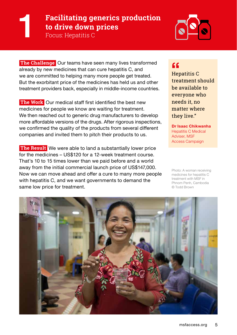## <span id="page-4-0"></span>**Facilitating generics production to drive down prices**<br>Focus: Hepatitis C



**The Challenge** Our teams have seen many lives transformed already by new medicines that can cure hepatitis C, and we are committed to helping many more people get treated. But the exorbitant price of the medicines has held us and other treatment providers back, especially in middle-income countries.

**The Work** Our medical staff first identified the best new medicines for people we know are waiting for treatment. We then reached out to generic drug manufacturers to develop more affordable versions of the drugs. After rigorous inspections, we confirmed the quality of the products from several different companies and invited them to pitch their products to us.

 **The Result** We were able to land a substantially lower price for the medicines – US\$120 for a 12-week treatment course. That's 10 to 15 times lower than we paid before and a world away from the initial commercial launch price of US\$147,000. Now we can move ahead and offer a cure to many more people with hepatitis C, and we want governments to demand the same low price for treatment.

#### $\overline{\mathbf{G}}$

Hepatitis C treatment should be available to everyone who needs it, no matter where they live."

**Dr Isaac Chikwanha** Hepatitis C Medical Adviser, MSF Access Campaign

Photo: A woman receiving medicines for hepatitis C treatment with MSF in Phnom Penh, Cambodia © Todd Brown

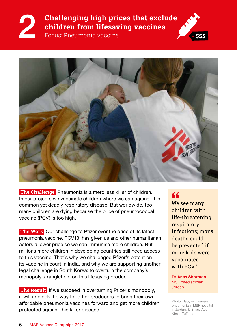### <span id="page-5-0"></span>**Challenging high prices that exclude children from lifesaving vaccines**<br>Focus: Pneumonia vaccine





 **The Challenge** Pneumonia is a merciless killer of children. In our projects we vaccinate children where we can against this common yet deadly respiratory disease. But worldwide, too many children are dying because the price of pneumococcal vaccine (PCV) is too high.

 **The Work** Our challenge to Pfizer over the price of its latest pneumonia vaccine, PCV13, has given us and other humanitarian actors a lower price so we can immunise more children. But millions more children in developing countries still need access to this vaccine. That's why we challenged Pfizer's patent on its vaccine in court in India, and why we are supporting another legal challenge in South Korea: to overturn the company's monopoly stranglehold on this lifesaving product.

**The Result** If we succeed in overturning Pfizer's monopoly, it will unblock the way for other producers to bring their own affordable pneumonia vaccines forward and get more children protected against this killer disease.

#### $\overline{\mathbf{G}}$

We see many children with life-threatening respiratory infections; many deaths could be prevented if more kids were vaccinated with PCV"

**Dr Anas Shorman**  MSF paediatrician, Jordan

Photo: Baby with severe pneumonia in MSF hospital in Jordan. © Enass Abu Khalaf-Tuffaha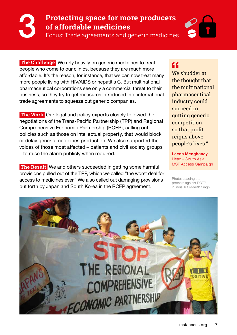# <span id="page-6-0"></span>**Protecting space for more producers**

Focus: Trade agreements and generic medicines

**The Challenge** We rely heavily on generic medicines to treat people who come to our clinics, because they are much more affordable. It's the reason, for instance, that we can now treat many more people living with HIV/AIDS or hepatitis C. But multinational pharmaceutical corporations see only a commercial threat to their business, so they try to get measures introduced into international trade agreements to squeeze out generic companies.

**The Work** Our legal and policy experts closely followed the negotiations of the Trans-Pacific Partnership (TPP) and Regional Comprehensive Economic Partnership (RCEP), calling out policies such as those on intellectual property, that would block or delay generic medicines production. We also supported the voices of those most affected – patients and civil society groups – to raise the alarm publicly when required.

**The Result** We and others succeeded in getting some harmful provisions pulled out of the TPP, which we called "the worst deal for access to medicines ever." We also called out damaging provisions put forth by Japan and South Korea in the RCEP agreement.

#### $c c$

We shudder at the thought that the multinational pharmaceutical industry could succeed in gutting generic competition so that profit reigns above people's lives."

**Leena Menghaney**  Head – South Asia, MSF Access Campaign

Photo: Leading the protests against RCEP in India © Siddarth Singh

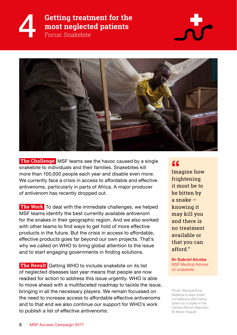### <span id="page-7-0"></span>**Getting treatment for the most neglected patients**<br>Focus: Snakebite





 **The Challenge** MSF teams see the havoc caused by a single snakebite to individuals and their families. Snakebites kill more than 100,000 people each year and disable even more. We currently face a crisis in access to affordable and effective antivenoms, particularly in parts of Africa. A major producer of antivenom has recently dropped out.

 **The Work** To deal with the immediate challenges, we helped MSF teams identify the best currently available antivenom for the snakes in their geographic region. And we also worked with other teams to find ways to get hold of more effective products in the future. But the crisis in access to affordable, effective products goes far beyond our own projects. That's why we called on WHO to bring global attention to the issue and to start engaging governments in finding solutions.

 **The Result** Getting WHO to include snakebite on its list of neglected diseases last year means that people are now readied for action to address this issue urgently. WHO is able to move ahead with a multifaceted roadmap to tackle the issue, bringing in all the necessary players. We remain focussed on the need to increase access to affordable effective antivenoms and to that end we also continue our support for WHO's work to publish a list of effective antivenoms.

#### $\epsilon$

Imagine how frightening it must be to be bitten by a snake knowing it may kill you and there is no treatment available or that you can afford."

**Dr Gabriel Alcoba**  MSF Medical Adviser on snakebite

Photo: Bonaventure Ndjekpe is kept under surveillance after being bitten by a snake in the Central African Republic. © Alexis Huguet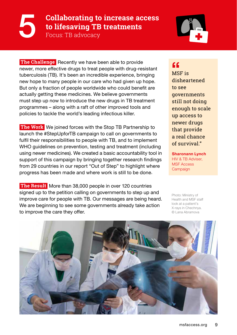### <span id="page-8-0"></span>**Collaborating to increase access to lifesaving TB treatments**<br>Focus: TB advocacy



**The Challenge** Recently we have been able to provide newer, more effective drugs to treat people with drug-resistant tuberculosis (TB). It's been an incredible experience, bringing new hope to many people in our care who had given up hope. But only a fraction of people worldwide who could benefit are actually getting these medicines. We believe governments must step up now to introduce the new drugs in TB treatment programmes – along with a raft of other improved tools and policies to tackle the world's leading infectious killer.

**The Work** We joined forces with the Stop TB Partnership to launch the #StepUpforTB campaign to call on governments to fulfil their responsibilities to people with TB, and to implement WHO guidelines on prevention, testing and treatment (including using newer medicines). We created a basic accountability tool in support of this campaign by bringing together research findings from 29 countries in our report "Out of Step" to highlight where progress has been made and where work is still to be done.

 **The Result** More than 38,000 people in over 120 countries signed up to the petition calling on governments to step up and improve care for people with TB. Our messages are being heard. We are beginning to see some governments already take action to improve the care they offer.

#### $\epsilon$

MSF is disheartened to see **governments** still not doing enough to scale up access to newer drugs that provide a real chance of survival"

**Sharonann Lynch** HIV & TB Adviser, MSF Access **Campaign** 

Photo: Ministry of Health and MSF staff look at a patient's X-rays in Chechnya. © Lana Abramova

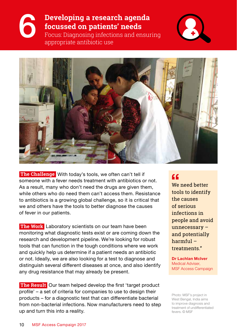<span id="page-9-0"></span>

# **Developing a research agenda<br>
<b>C** focussed on patients' needs<br>
Focus: Diagnosing infections and ensuring<br>
appropriate antibiotic use **focussed on patients' needs**

appropriate antibiotic use





 **The Challenge** With today's tools, we often can't tell if someone with a fever needs treatment with antibiotics or not. As a result, many who don't need the drugs are given them, while others who do need them can't access them. Resistance to antibiotics is a growing global challenge, so it is critical that we and others have the tools to better diagnose the causes of fever in our patients.

**The Work** Laboratory scientists on our team have been monitoring what diagnostic tests exist or are coming down the research and development pipeline. We're looking for robust tools that can function in the tough conditions where we work and quickly help us determine if a patient needs an antibiotic or not. Ideally, we are also looking for a test to diagnose and distinguish several different diseases at once, and also identify any drug resistance that may already be present.

 **The Result** Our team helped develop the first 'target product profile' – a set of criteria for companies to use to design their products – for a diagnostic test that can differentiate bacterial from non-bacterial infections. Now manufacturers need to step up and turn this into a reality.

### $\epsilon$

We need better tools to identify the causes of serious infections in people and avoid unnecessary – and potentially harmful – treatments."

**Dr Lachlan McIver** Medical Adviser, MSF Access Campaign

Photo: MSF's project in West Bengal, India aims to improve diagnosis and treatment of undifferentiated fevers. © MSF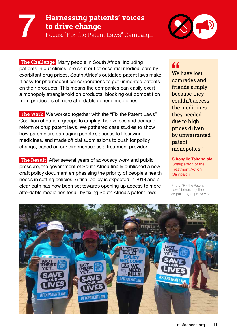### <span id="page-10-0"></span>**Harnessing patients' voices to drive change**<br>**Pocus: "Fix the Patent Laws" Campaign**



**The Challenge** Many people in South Africa, including patients in our clinics, are shut out of essential medical care by exorbitant drug prices. South Africa's outdated patent laws make it easy for pharmaceutical corporations to get unmerited patents on their products. This means the companies can easily exert a monopoly stranglehold on products, blocking out competition from producers of more affordable generic medicines.

**The Work** We worked together with the "Fix the Patent Laws" Coalition of patient groups to amplify their voices and demand reform of drug patent laws. We gathered case studies to show how patents are damaging people's access to lifesaving medicines, and made official submissions to push for policy change, based on our experiences as a treatment provider.

 **The Result** After several years of advocacy work and public pressure, the government of South Africa finally published a new draft policy document emphasising the priority of people's health needs in setting policies. A final policy is expected in 2018 and a clear path has now been set towards opening up access to more affordable medicines for all by fixing South Africa's patent laws.

### $cc$

We have lost comrades and friends simply because they couldn't access the medicines they needed due to high prices driven by unwarranted patent monopolies."

**Sibongile Tshabalala** Chairperson of the Treatment Action **Campaign** 

Photo: 'Fix the Patent Laws' brings together 36 patient groups. © MSF